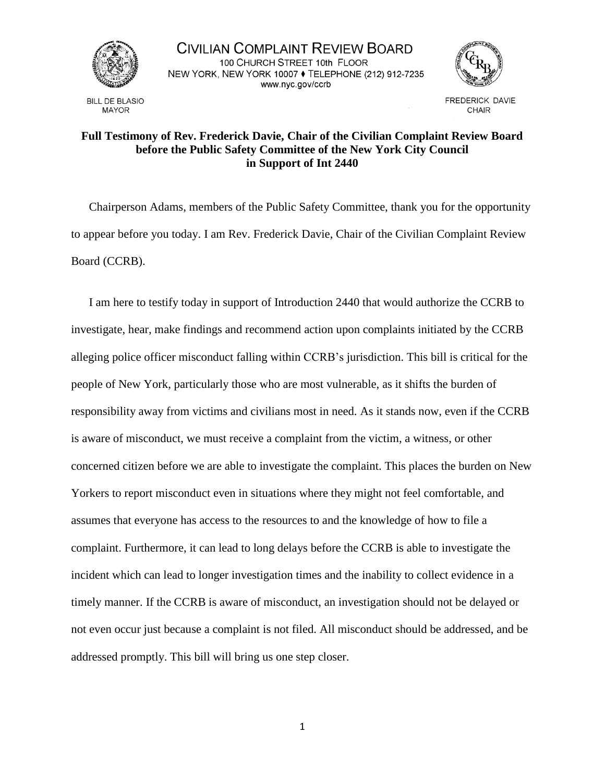

**BILL DE BLASIO MAYOR** 

CIVILIAN COMPLAINT REVIEW BOARD 100 CHURCH STREET 10th FLOOR NEW YORK, NEW YORK 10007 ♦ TELEPHONE (212) 912-7235 www.nyc.gov/ccrb



**FREDERICK DAVIE** CHAIR

## **Full Testimony of Rev. Frederick Davie, Chair of the Civilian Complaint Review Board before the Public Safety Committee of the New York City Council in Support of Int 2440**

Chairperson Adams, members of the Public Safety Committee, thank you for the opportunity to appear before you today. I am Rev. Frederick Davie, Chair of the Civilian Complaint Review Board (CCRB).

I am here to testify today in support of Introduction 2440 that would authorize the CCRB to investigate, hear, make findings and recommend action upon complaints initiated by the CCRB alleging police officer misconduct falling within CCRB's jurisdiction. This bill is critical for the people of New York, particularly those who are most vulnerable, as it shifts the burden of responsibility away from victims and civilians most in need. As it stands now, even if the CCRB is aware of misconduct, we must receive a complaint from the victim, a witness, or other concerned citizen before we are able to investigate the complaint. This places the burden on New Yorkers to report misconduct even in situations where they might not feel comfortable, and assumes that everyone has access to the resources to and the knowledge of how to file a complaint. Furthermore, it can lead to long delays before the CCRB is able to investigate the incident which can lead to longer investigation times and the inability to collect evidence in a timely manner. If the CCRB is aware of misconduct, an investigation should not be delayed or not even occur just because a complaint is not filed. All misconduct should be addressed, and be addressed promptly. This bill will bring us one step closer.